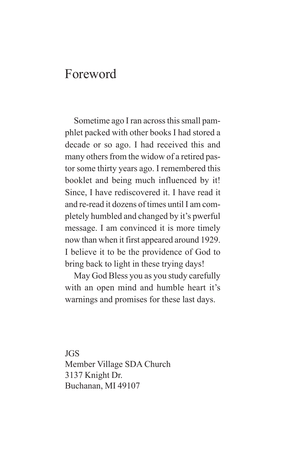# Foreword

Sometime ago I ran across this small pamphlet packed with other books I had stored a decade or so ago. I had received this and many others from the widow of a retired pastor some thirty years ago. I remembered this booklet and being much influenced by it! Since, I have rediscovered it. I have read it and re-read it dozens of times until I am completely humbled and changed by it's pwerful message. I am convinced it is more timely now than when it first appeared around 1929. I believe it to be the providence of God to bring back to light in these trying days!

May God Bless you as you study carefully with an open mind and humble heart it's warnings and promises for these last days.

JGS Member Village SDA Church 3137 Knight Dr. Buchanan, MI 49107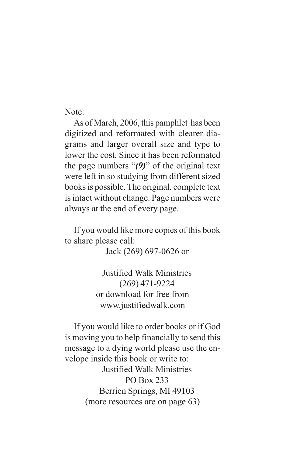Note:

As of March, 2006, this pamphlet has been digitized and reformated with clearer diagrams and larger overall size and type to lower the cost. Since it has been reformated the page numbers "*(9)*" of the original text were left in so studying from different sized books is possible. The original, complete text is intact without change. Page numbers were always at the end of every page.

If you would like more copies of this book to share please call:

Jack (269) 697-0626 or

Justified Walk Ministries (269) 471-9224 or download for free from www.justifiedwalk.com

If you would like to order books or if God is moving you to help financially to send this message to a dying world please use the envelope inside this book or write to: Justified Walk Ministries PO Box 233 Berrien Springs, MI 49103 (more resources are on page 63)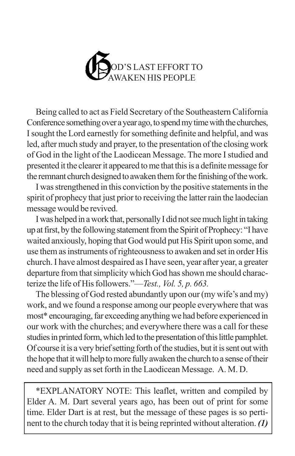

Being called to act as Field Secretary of the Southeastern California Conference something over a year ago, to spend my time with the churches, I sought the Lord earnestly for something definite and helpful, and was led, after much study and prayer, to the presentation of the closing work of God in the light of the Laodicean Message. The more I studied and presented it the clearer it appeared to me that this is a definite message for the remnant church designed to awaken them for the finishing of the work.

I was strengthened in this conviction by the positive statements in the spirit of prophecy that just prior to receiving the latter rain the laodecian message would be revived.

I was helped in a work that, personally I did not see much light in taking up at first, by the following statement from the Spirit of Prophecy: "I have waited anxiously, hoping that God would put His Spirit upon some, and use them as instruments of righteousness to awaken and set in order His church. I have almost despaired as I have seen, year after year, a greater departure from that simplicity which God has shown me should characterize the life of His followers."—*Test., Vol. 5, p. 663.*

The blessing of God rested abundantly upon our (my wife's and my) work, and we found a response among our people everywhere that was most\* encouraging, far exceeding anything we had before experienced in our work with the churches; and everywhere there was a call for these studies in printed form, which led to the presentation of this little pamphlet. Of course it is a very brief setting forth of the studies, but it is sent out with the hope that it will help to more fully awaken the church to a sense of their need and supply as set forth in the Laodicean Message. A. M. D.

\*EXPLANATORY NOTE: This leaflet, written and compiled by Elder A. M. Dart several years ago, has been out of print for some time. Elder Dart is at rest, but the message of these pages is so pertinent to the church today that it is being reprinted without alteration. *(1)*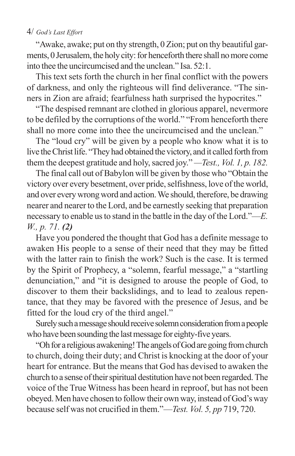"Awake, awake; put on thy strength, 0 Zion; put on thy beautiful garments, 0 Jerusalem, the holy city: for henceforth there shall no more come into thee the uncircumcised and the unclean." Isa. 52:1.

This text sets forth the church in her final conflict with the powers of darkness, and only the righteous will find deliverance. "The sinners in Zion are afraid; fearfulness hath surprised the hypocrites."

"The despised remnant are clothed in glorious apparel, nevermore to be defiled by the corruptions of the world." "From henceforth there shall no more come into thee the uncircumcised and the unclean."

The "loud cry" will be given by a people who know what it is to live the Christ life. "They had obtained the victory, and it called forth from them the deepest gratitude and holy, sacred joy." *—Test., Vol. 1, p. 182.*

The final call out of Babylon will be given by those who "Obtain the victory over every besetment, over pride, selfishness, love of the world, and over every wrong word and action. We should, therefore, be drawing nearer and nearer to the Lord, and be earnestly seeking that preparation necessary to enable us to stand in the battle in the day of the Lord."—*E. W., p. 71. (2)*

Have you pondered the thought that God has a definite message to awaken His people to a sense of their need that they may be fitted with the latter rain to finish the work? Such is the case. It is termed by the Spirit of Prophecy, a "solemn, fearful message," a "startling denunciation," and "it is designed to arouse the people of God, to discover to them their backslidings, and to lead to zealous repentance, that they may be favored with the presence of Jesus, and be fitted for the loud cry of the third angel."

Surely such a message should receive solemn consideration from a people who have been sounding the last message for eighty-five years.

"Oh for a religious awakening! The angels of God are going from church to church, doing their duty; and Christ is knocking at the door of your heart for entrance. But the means that God has devised to awaken the church to a sense of their spiritual destitution have not been regarded. The voice of the True Witness has been heard in reproof, but has not been obeyed. Men have chosen to follow their own way, instead of God's way because self was not crucified in them."—*Test. Vol. 5, pp* 719, 720.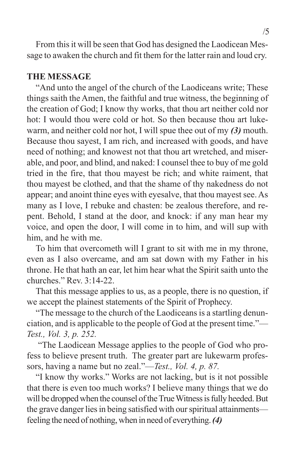From this it will be seen that God has designed the Laodicean Message to awaken the church and fit them for the latter rain and loud cry.

## **THE MESSAGE**

"And unto the angel of the church of the Laodiceans write; These things saith the Amen, the faithful and true witness, the beginning of the creation of God; I know thy works, that thou art neither cold nor hot: I would thou were cold or hot. So then because thou art lukewarm, and neither cold nor hot, I will spue thee out of my *(3)* mouth. Because thou sayest, I am rich, and increased with goods, and have need of nothing; and knowest not that thou art wretched, and miserable, and poor, and blind, and naked: I counsel thee to buy of me gold tried in the fire, that thou mayest be rich; and white raiment, that thou mayest be clothed, and that the shame of thy nakedness do not appear; and anoint thine eyes with eyesalve, that thou mayest see. As many as I love, I rebuke and chasten: be zealous therefore, and repent. Behold, I stand at the door, and knock: if any man hear my voice, and open the door, I will come in to him, and will sup with him, and he with me.

To him that overcometh will I grant to sit with me in my throne, even as I also overcame, and am sat down with my Father in his throne. He that hath an ear, let him hear what the Spirit saith unto the churches." Rev. 3:14-22.

That this message applies to us, as a people, there is no question, if we accept the plainest statements of the Spirit of Prophecy.

"The message to the church of the Laodiceans is a startling denunciation, and is applicable to the people of God at the present time."— *Test., Vol. 3, p. 252.*

"The Laodicean Message applies to the people of God who profess to believe present truth. The greater part are lukewarm professors, having a name but no zeal."—*Test., Vol. 4, p. 87.*

"I know thy works." Works are not lacking, but is it not possible that there is even too much works? I believe many things that we do will be dropped when the counsel of the True Witness is fully heeded. But the grave danger lies in being satisfied with our spiritual attainments feeling the need of nothing, when in need of everything. *(4)*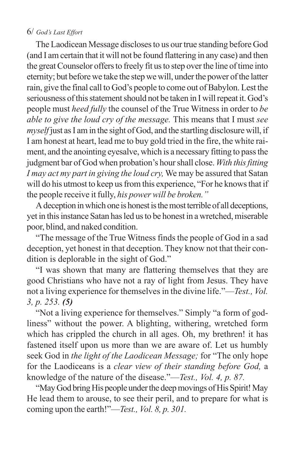The Laodicean Message discloses to us our true standing before God (and I am certain that it will not be found flattering in any case) and then the great Counselor offers to freely fit us to step over the line of time into eternity; but before we take the step we will, under the power of the latter rain, give the final call to God's people to come out of Babylon. Lest the seriousness of this statement should not be taken in I will repeat it. God's people must *heed fully* the counsel of the True Witness in order to *be able to give the loud cry of the message.* This means that I must *see myself* just as I am in the sight of God, and the startling disclosure will, if I am honest at heart, lead me to buy gold tried in the fire, the white raiment, and the anointing eyesalve, which is a necessary fitting to pass the judgment bar of God when probation's hour shall close. *With this fitting I may act my part in giving the loud cry,* We may be assured that Satan will do his utmost to keep us from this experience, "For he knows that if the people receive it fully, *his power will be broken."*

A deception in which one is honest is the most terrible of all deceptions, yet in this instance Satan has led us to be honest in a wretched, miserable poor, blind, and naked condition.

"The message of the True Witness finds the people of God in a sad deception, yet honest in that deception. They know not that their condition is deplorable in the sight of God."

"I was shown that many are flattering themselves that they are good Christians who have not a ray of light from Jesus. They have not a living experience for themselves in the divine life."—*Test., Vol. 3, p. 253. (5)*

"Not a living experience for themselves." Simply "a form of godliness" without the power. A blighting, withering, wretched form which has crippled the church in all ages. Oh, my brethren! it has fastened itself upon us more than we are aware of. Let us humbly seek God in *the light of the Laodicean Message;* for "The only hope for the Laodiceans is a *clear view of their standing before God,* a knowledge of the nature of the disease."—*Test., Vol. 4, p. 87.*

"May God bring His people under the deep movings of His Spirit! May He lead them to arouse, to see their peril, and to prepare for what is coming upon the earth!"—*Test., Vol. 8, p. 301.*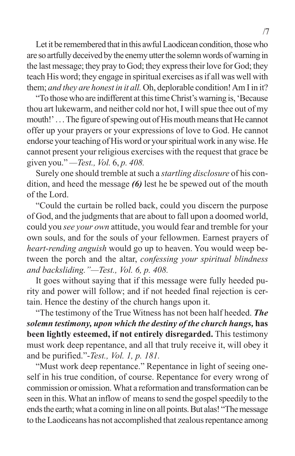Let it be remembered that in this awful Laodicean condition, those who are so artfully deceived by the enemy utter the solemn words of warning in the last message; they pray to God; they express their love for God; they teach His word; they engage in spiritual exercises as if all was well with them; *and they are honest in it all.* Oh, deplorable condition! Am I in it?

"To those who are indifferent at this time Christ's warning is, 'Because thou art lukewarm, and neither cold nor hot, I will spue thee out of my mouth!' . . . The figure of spewing out of His mouth means that He cannot offer up your prayers or your expressions of love to God. He cannot endorse your teaching of His word or your spiritual work in any wise. He cannot present your religious exercises with the request that grace be given you." *—Test., Vol.* 6, *p. 408.*

Surely one should tremble at such a *startling disclosure* of his condition, and heed the message *(6)* lest he be spewed out of the mouth of the Lord.

"Could the curtain be rolled back, could you discern the purpose of God, and the judgments that are about to fall upon a doomed world, could you *see your own* attitude, you would fear and tremble for your own souls, and for the souls of your fellowmen. Earnest prayers of *heart-rending anguish* would go up to heaven. You would weep between the porch and the altar, *confessing your spiritual blindness and backsliding."—Test., Vol. 6, p. 408.*

It goes without saying that if this message were fully heeded purity and power will follow; and if not heeded final rejection is certain. Hence the destiny of the church hangs upon it.

"The testimony of the True Witness has not been half heeded. *The solemn testimony, upon which the destiny of the church hangs,* **has been lightly esteemed, if not entirely disregarded.** This testimony must work deep repentance, and all that truly receive it, will obey it and be purified."-*Test., Vol. 1, p. 181.*

"Must work deep repentance." Repentance in light of seeing oneself in his true condition, of course. Repentance for every wrong of commission or omission. What a reformation and transformation can be seen in this. What an inflow of means to send the gospel speedily to the ends the earth; what a coming in line on all points. But alas! "The message to the Laodiceans has not accomplished that zealous repentance among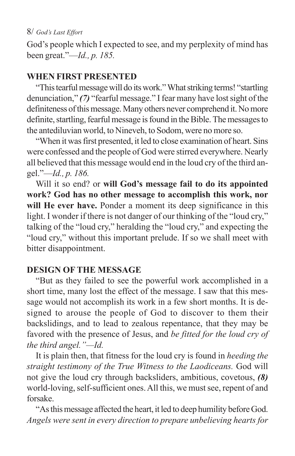God's people which I expected to see, and my perplexity of mind has been great."—*Id., p. 185.*

## **WHEN FIRST PRESENTED**

"This tearful message will do its work." What striking terms! "startling denunciation," *(7)* "fearful message." I fear many have lost sight of the definiteness of this message. Many others never comprehend it. No more definite, startling, fearful message is found in the Bible. The messages to the antediluvian world, to Nineveh, to Sodom, were no more so.

"When it was first presented, it led to close examination of heart. Sins were confessed and the people of God were stirred everywhere. Nearly all believed that this message would end in the loud cry of the third angel."—*Id., p. 186.*

Will it so end? or **will God's message fail to do its appointed work? God has no other message to accomplish this work, nor will He ever have.** Ponder a moment its deep significance in this light. I wonder if there is not danger of our thinking of the "loud cry," talking of the "loud cry," heralding the "loud cry," and expecting the "loud cry," without this important prelude. If so we shall meet with bitter disappointment.

## **DESIGN OF THE MESSAGE**

"But as they failed to see the powerful work accomplished in a short time, many lost the effect of the message. I saw that this message would not accomplish its work in a few short months. It is designed to arouse the people of God to discover to them their backslidings, and to lead to zealous repentance, that they may be favored with the presence of Jesus, and *be fitted for the loud cry of the third angel."—Id.*

It is plain then, that fitness for the loud cry is found in *heeding the straight testimony of the True Witness to the Laodiceans.* God will not give the loud cry through backsliders, ambitious, covetous, *(8)* world-loving, self-sufficient ones. All this, we must see, repent of and forsake.

"As this message affected the heart, itled to deep humility before God. *Angels were sent in every direction to prepare unbelieving hearts for*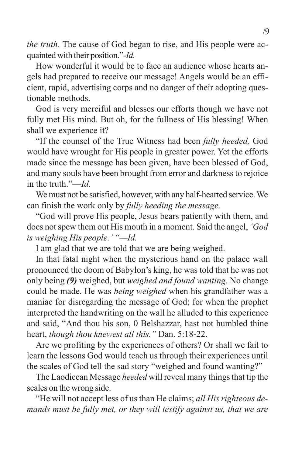*the truth.* The cause of God began to rise, and His people were acquainted with their position."-*Id.*

How wonderful it would be to face an audience whose hearts angels had prepared to receive our message! Angels would be an efficient, rapid, advertising corps and no danger of their adopting questionable methods.

God is very merciful and blesses our efforts though we have not fully met His mind. But oh, for the fullness of His blessing! When shall we experience it?

"If the counsel of the True Witness had been *fully heeded,* God would have wrought for His people in greater power. Yet the efforts made since the message has been given, have been blessed of God, and many souls have been brought from error and darkness to rejoice in the truth."—*Id.*

We must not be satisfied, however, with any half-hearted service. We can finish the work only by *fully heeding the message.*

"God will prove His people, Jesus bears patiently with them, and does not spew them out His mouth in a moment. Said the angel, *'God is weighing His people.' "—Id.*

I am glad that we are told that we are being weighed.

In that fatal night when the mysterious hand on the palace wall pronounced the doom of Babylon's king, he was told that he was not only being *(9)* weighed, but *weighed and found wanting.* No change could be made. He was *being weighed* when his grandfather was a maniac for disregarding the message of God; for when the prophet interpreted the handwriting on the wall he alluded to this experience and said, "And thou his son, 0 Belshazzar, hast not humbled thine heart, *though thou knewest all this."* Dan. 5:18-22.

Are we profiting by the experiences of others? Or shall we fail to learn the lessons God would teach us through their experiences until the scales of God tell the sad story "weighed and found wanting?"

The Laodicean Message *heeded* will reveal many things that tip the scales on the wrong side.

"He will not accept less of us than He claims; *all His righteous demands must be fully met, or they will testify against us, that we are*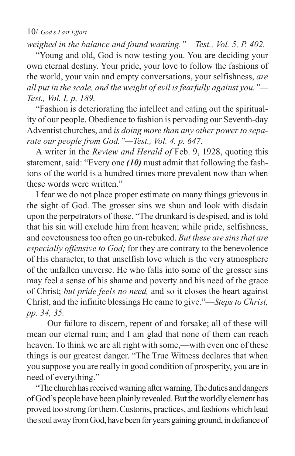*weighed in the balance and found wanting."*—*Test., Vol. 5, P. 402.*

"Young and old, God is now testing you. You are deciding your own eternal destiny. Your pride, your love to follow the fashions of the world, your vain and empty conversations, your selfishness, *are all put in the scale, and the weight of evil is fearfully against you."— Test., Vol. I, p. 189.*

"Fashion is deteriorating the intellect and eating out the spirituality of our people. Obedience to fashion is pervading our Seventh-day Adventist churches, and *is doing more than any other power to separate our people from God."—Test., Vol. 4. p. 647.*

A writer in the *Review and Herald of* Feb. 9, 1928, quoting this statement, said: "Every one *(10)* must admit that following the fashions of the world is a hundred times more prevalent now than when these words were written."

I fear we do not place proper estimate on many things grievous in the sight of God. The grosser sins we shun and look with disdain upon the perpetrators of these. "The drunkard is despised, and is told that his sin will exclude him from heaven; while pride, selfishness, and covetousness too often go un-rebuked. *But these are sins that are especially offensive to God;* for they are contrary to the benevolence of His character, to that unselfish love which is the very atmosphere of the unfallen universe. He who falls into some of the grosser sins may feel a sense of his shame and poverty and his need of the grace of Christ; *but pride feels no need,* and so it closes the heart against Christ, and the infinite blessings He came to give."—*Steps to Christ, pp. 34, 35.*

 Our failure to discern, repent of and forsake; all of these will mean our eternal ruin; and I am glad that none of them can reach heaven. To think we are all right with some,—with even one of these things is our greatest danger. "The True Witness declares that when you suppose you are really in good condition of prosperity, you are in need of everything."

"The church has received warning after warning. The duties and dangers of God's people have been plainly revealed. But the worldly element has proved too strong for them. Customs, practices, and fashions which lead the soul away from God, have been for years gaining ground, in defiance of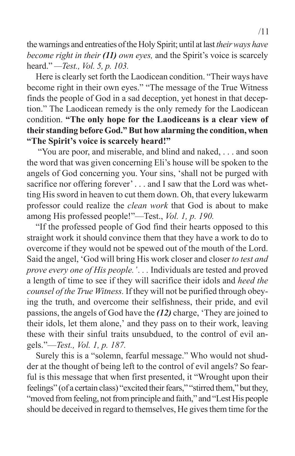the warnings and entreaties of the Holy Spirit; until at last *their ways have become right in their (11) own eyes,* and the Spirit's voice is scarcely heard." *—Test., Vol. 5, p. 103.*

Here is clearly set forth the Laodicean condition. "Their ways have become right in their own eyes." "The message of the True Witness finds the people of God in a sad deception, yet honest in that deception." The Laodicean remedy is the only remedy for the Laodicean condition. **"The only hope for the Laodiceans is a clear view of their standing before God." But how alarming the condition, when "The Spirit's voice is scarcely heard!"**

 "You are poor, and miserable, and blind and naked, . . . and soon the word that was given concerning Eli's house will be spoken to the angels of God concerning you. Your sins, 'shall not be purged with sacrifice nor offering forever' . . . and I saw that the Lord was whetting His sword in heaven to cut them down. Oh, that every lukewarm professor could realize the *clean work* that God is about to make among His professed people!"—Test., *Vol. 1, p. 190.*

"If the professed people of God find their hearts opposed to this straight work it should convince them that they have a work to do to overcome if they would not be spewed out of the mouth of the Lord. Said the angel, 'God will bring His work closer and closer *to test and prove every one of His people.' . . .* Individuals are tested and proved a length of time to see if they will sacrifice their idols and *heed the counsel of the True Witness.* If they will not be purified through obeying the truth, and overcome their selfishness, their pride, and evil passions, the angels of God have the *(12)* charge, 'They are joined to their idols, let them alone,' and they pass on to their work, leaving these with their sinful traits unsubdued, to the control of evil angels."—*Test., Vol. 1, p. 187.*

Surely this is a "solemn, fearful message." Who would not shudder at the thought of being left to the control of evil angels? So fearful is this message that when first presented, it "Wrought upon their feelings" (of a certain class) "excited their fears," "stirred them," but they, "moved from feeling, not from principle and faith," and "Lest His people should be deceived in regard to themselves, He gives them time for the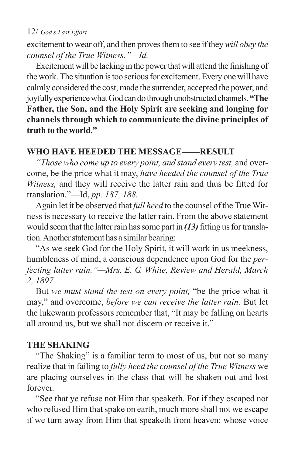excitement to wear off, and then proves them to see if they *will obey the counsel of the True Witness."—Id.*

Excitement will be lacking in the power that will attend the finishing of the work. The situation is too serious for excitement. Every one will have calmly considered the cost, made the surrender, accepted the power, and joyfully experience what God can do through unobstructed channels. **"The Father, the Son, and the Holy Spirit are seeking and longing for channels through which to communicate the divine principles of truth to the world."**

## **WHO HAVE HEEDED THE MESSAGE——RESULT**

*"Those who come up to every point, and stand every test,* and overcome, be the price what it may, *have heeded the counsel of the True Witness,* and they will receive the latter rain and thus be fitted for translation."—Id, *pp. 187, 188.*

Again let it be observed that *full heed* to the counsel of the True Witness is necessary to receive the latter rain. From the above statement would seem that the latter rain has some part in *(13)* fitting us for translation. Another statement has a similar bearing:

"As we seek God for the Holy Spirit, it will work in us meekness, humbleness of mind, a conscious dependence upon God for the *perfecting latter rain."—Mrs. E. G. White, Review and Herald, March 2, 1897.*

But *we must stand the test on every point,* "be the price what it may," and overcome, *before we can receive the latter rain.* But let the lukewarm professors remember that, "It may be falling on hearts all around us, but we shall not discern or receive it."

## **THE SHAKING**

"The Shaking" is a familiar term to most of us, but not so many realize that in failing to *fully heed the counsel of the True Witness* we are placing ourselves in the class that will be shaken out and lost forever.

"See that ye refuse not Him that speaketh. For if they escaped not who refused Him that spake on earth, much more shall not we escape if we turn away from Him that speaketh from heaven: whose voice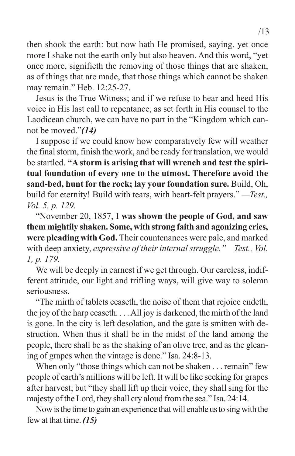then shook the earth: but now hath He promised, saying, yet once more I shake not the earth only but also heaven. And this word, "yet once more, signifieth the removing of those things that are shaken, as of things that are made, that those things which cannot be shaken may remain." Heb. 12:25-27.

Jesus is the True Witness; and if we refuse to hear and heed His voice in His last call to repentance, as set forth in His counsel to the Laodicean church, we can have no part in the "Kingdom which cannot be moved."*(14)*

I suppose if we could know how comparatively few will weather the final storm, finish the work, and be ready for translation, we would be startled. **"A storm is arising that will wrench and test the spiritual foundation of every one to the utmost. Therefore avoid the sand-bed, hunt for the rock; lay your foundation sure.** Build, Oh, build for eternity! Build with tears, with heart-felt prayers." *—Test., Vol. 5, p. 129.*

"November 20, 1857, **I was shown the people of God, and saw them mightily shaken. Some, with strong faith and agonizing cries, were pleading with God.** Their countenances were pale, and marked with deep anxiety, *expressive of their internal struggle."—Test., Vol. 1, p. 179.*

We will be deeply in earnest if we get through. Our careless, indifferent attitude, our light and trifling ways, will give way to solemn seriousness.

"The mirth of tablets ceaseth, the noise of them that rejoice endeth, the joy of the harp ceaseth. . . . All joy is darkened, the mirth of the land is gone. In the city is left desolation, and the gate is smitten with destruction. When thus it shall be in the midst of the land among the people, there shall be as the shaking of an olive tree, and as the gleaning of grapes when the vintage is done." Isa. 24:8-13.

When only "those things which can not be shaken . . . remain" few people of earth's millions will be left. It will be like seeking for grapes after harvest; but "they shall lift up their voice, they shall sing for the majesty of the Lord, they shall cry aloud from the sea." Isa. 24:14.

Now is the time to gain an experience that will enable us to sing with the few at that time. *(15)*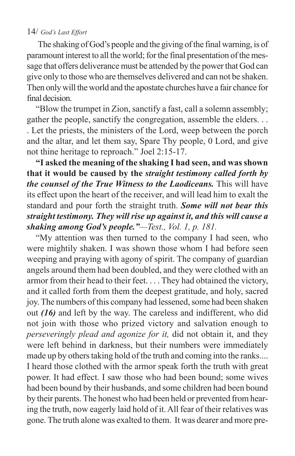The shaking of God's people and the giving of the final warning, is of paramount interest to all the world; for the final presentation of the message that offers deliverance must be attended by the power that God can give only to those who are themselves delivered and can not be shaken. Then only will the world and the apostate churches have a fair chance for final decision.

"Blow the trumpet in Zion, sanctify a fast, call a solemn assembly; gather the people, sanctify the congregation, assemble the elders. . . . Let the priests, the ministers of the Lord, weep between the porch and the altar, and let them say, Spare Thy people, 0 Lord, and give not thine heritage to reproach." Joel 2:15-17.

**"I asked the meaning of the shaking I had seen, and was shown that it would be caused by the** *straight testimony called forth by the counsel of the True Witness to the Laodiceans.* This will have its effect upon the heart of the receiver, and will lead him to exalt the standard and pour forth the straight truth. *Some will not bear this straight testimony. They will rise up against it, and this will cause a shaking among God's people."—Test., Vol. 1, p. 181.*

"My attention was then turned to the company I had seen, who were mightily shaken. I was shown those whom I had before seen weeping and praying with agony of spirit. The company of guardian angels around them had been doubled, and they were clothed with an armor from their head to their feet. . . . They had obtained the victory, and it called forth from them the deepest gratitude, and holy, sacred joy. The numbers of this company had lessened, some had been shaken out *(16)* and left by the way. The careless and indifferent, who did not join with those who prized victory and salvation enough to *perseveringly plead and agonize for it,* did not obtain it, and they were left behind in darkness, but their numbers were immediately made up by others taking hold of the truth and coming into the ranks.... I heard those clothed with the armor speak forth the truth with great power. It had effect. I saw those who had been bound; some wives had been bound by their husbands, and some children had been bound by their parents. The honest who had been held or prevented from hearing the truth, now eagerly laid hold of it. All fear of their relatives was gone. The truth alone was exalted to them. It was dearer and more pre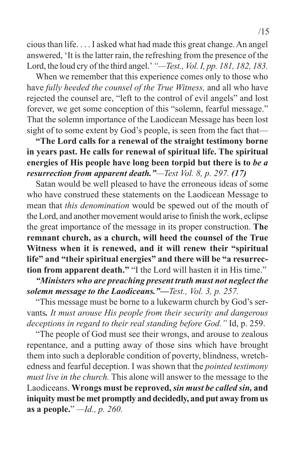cious than life. . . . I asked what had made this great change. An angel answered, 'It is the latter rain, the refreshing from the presence of the Lord, the loud cry of the third angel.' *"—Test., Vol. I, pp. 181, 182, 183.*

When we remember that this experience comes only to those who have *fully heeded the counsel of the True Witness,* and all who have rejected the counsel are, "left to the control of evil angels" and lost forever, we get some conception of this "solemn, fearful message." That the solemn importance of the Laodicean Message has been lost sight of to some extent by God's people, is seen from the fact that—

**"The Lord calls for a renewal of the straight testimony borne in years past. He calls for renewal of spiritual life. The spiritual energies of His people have long been torpid but there is to** *be a resurrection from apparent death."—Test Vol. 8, p. 297. (17)*

Satan would be well pleased to have the erroneous ideas of some who have construed these statements on the Laodicean Message to mean that *this denomination* would be spewed out of the mouth of the Lord, and another movement would arise to finish the work, eclipse the great importance of the message in its proper construction. **The remnant church, as a church, will heed the counsel of the True Witness when it is renewed, and it will renew their "spiritual life" and "their spiritual energies" and there will be "a resurrection from apparent death."** "I the Lord will hasten it in His time."

*"Ministers who are preaching present truth must not neglect the solemn message to the Laodiceans."—Test., Vol. 3, p. 257.*

"This message must be borne to a lukewarm church by God's servants*. It must arouse His people from their security and dangerous deceptions in regard to their real standing before God."* Id, p. 259.

"The people of God must see their wrongs, and arouse to zealous repentance, and a putting away of those sins which have brought them into such a deplorable condition of poverty, blindness, wretchedness and fearful deception. I was shown that the *pointed testimony must live in the church.* This alone will answer to the message to the Laodiceans. **Wrongs must be reproved,** *sin must be called sin,* **and iniquity must be met promptly and decidedly, and put away from us as a people.**" *—Id., p. 260.*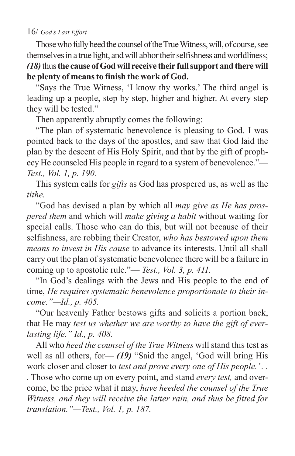Those who fully heed the counsel of the True Witness, will, of course, see themselves in a true light, and will abhor their selfishness and worldliness; *(18)* thus **the cause of God will receive their full support and there will be plenty of means to finish the work of God.**

"Says the True Witness, 'I know thy works.' The third angel is leading up a people, step by step, higher and higher. At every step they will be tested."

Then apparently abruptly comes the following:

"The plan of systematic benevolence is pleasing to God. I was pointed back to the days of the apostles, and saw that God laid the plan by the descent of His Holy Spirit, and that by the gift of prophecy He counseled His people in regard to a system of benevolence."— *Test., Vol. 1, p. 190.*

This system calls for *gifts* as God has prospered us, as well as the *tithe.*

"God has devised a plan by which all *may give as He has prospered them* and which will *make giving a habit* without waiting for special calls. Those who can do this, but will not because of their selfishness, are robbing their Creator, *who has bestowed upon them means to invest in His cause* to advance its interests. Until all shall carry out the plan of systematic benevolence there will be a failure in coming up to apostolic rule."— *Test., Vol. 3, p. 411.*

"In God's dealings with the Jews and His people to the end of time, *He requires systematic benevolence proportionate to their income."—Id., p. 405.*

"Our heavenly Father bestows gifts and solicits a portion back, that He may *test us whether we are worthy to have the gift of everlasting life." Id., p. 408.*

All who *heed the counsel of the True Witness* will stand this test as well as all others, for— (19) "Said the angel, 'God will bring His work closer and closer to *test and prove every one of His people.' . .*

*.* Those who come up on every point, and stand *every test,* and overcome, be the price what it may, *have heeded the counsel of the True Witness, and they will receive the latter rain, and thus be fitted for translation."—Test., Vol. 1, p. 187.*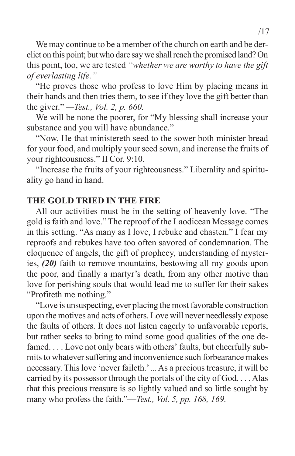We may continue to be a member of the church on earth and be derelict on this point; but who dare say we shall reach the promised land? On this point, too, we are tested *"whether we are worthy to have the gift of everlasting life."*

"He proves those who profess to love Him by placing means in their hands and then tries them, to see if they love the gift better than the giver." *—Test., Vol. 2, p. 660.*

We will be none the poorer, for "My blessing shall increase your substance and you will have abundance."

"Now, He that ministereth seed to the sower both minister bread for your food, and multiply your seed sown, and increase the fruits of your righteousness." II Cor. 9:10.

"Increase the fruits of your righteousness." Liberality and spirituality go hand in hand.

## **THE GOLD TRIED IN THE FIRE**

All our activities must be in the setting of heavenly love. "The gold is faith and love." The reproof of the Laodicean Message comes in this setting. "As many as I love, I rebuke and chasten." I fear my reproofs and rebukes have too often savored of condemnation. The eloquence of angels, the gift of prophecy, understanding of mysteries, *(20)* faith to remove mountains, bestowing all my goods upon the poor, and finally a martyr's death, from any other motive than love for perishing souls that would lead me to suffer for their sakes "Profiteth me nothing."

"Love is unsuspecting, ever placing the most favorable construction upon the motives and acts of others. Love will never needlessly expose the faults of others. It does not listen eagerly to unfavorable reports, but rather seeks to bring to mind some good qualities of the one defamed. . . . Love not only bears with others' faults, but cheerfully submits to whatever suffering and inconvenience such forbearance makes necessary. This love 'never faileth.' ... As a precious treasure, it will be carried by its possessor through the portals of the city of God. . . . Alas that this precious treasure is so lightly valued and so little sought by many who profess the faith."—*Test., Vol. 5, pp. 168, 169.*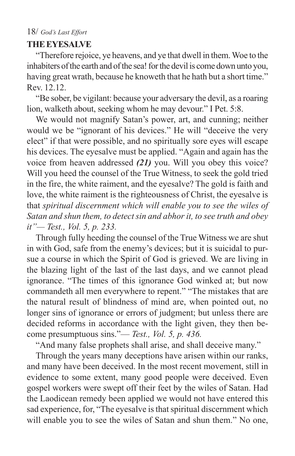## **THE EYESALVE**

"Therefore rejoice, ye heavens, and ye that dwell in them. Woe to the inhabiters of the earth and of the sea! for the devil is come down unto you, having great wrath, because he knoweth that he hath but a short time." Rev. 12.12.

"Be sober, be vigilant: because your adversary the devil, as a roaring lion, walketh about, seeking whom he may devour." I Pet. 5:8.

We would not magnify Satan's power, art, and cunning; neither would we be "ignorant of his devices." He will "deceive the very elect" if that were possible, and no spiritually sore eyes will escape his devices. The eyesalve must be applied. "Again and again has the voice from heaven addressed *(21)* you. Will you obey this voice? Will you heed the counsel of the True Witness, to seek the gold tried in the fire, the white raiment, and the eyesalve? The gold is faith and love, the white raiment is the righteousness of Christ, the eyesalve is that *spiritual discernment which will enable you to see the wiles of Satan and shun them, to detect sin and abhor it, to see truth and obey it"— Test., Vol. 5, p. 233.*

Through fully heeding the counsel of the True Witness we are shut in with God, safe from the enemy's devices; but it is suicidal to pursue a course in which the Spirit of God is grieved. We are living in the blazing light of the last of the last days, and we cannot plead ignorance. "The times of this ignorance God winked at; but now commandeth all men everywhere to repent." "The mistakes that are the natural result of blindness of mind are, when pointed out, no longer sins of ignorance or errors of judgment; but unless there are decided reforms in accordance with the light given, they then become presumptuous sins."— *Test., Vol. 5, p. 436.*

"And many false prophets shall arise, and shall deceive many."

Through the years many deceptions have arisen within our ranks, and many have been deceived. In the most recent movement, still in evidence to some extent, many good people were deceived. Even gospel workers were swept off their feet by the wiles of Satan. Had the Laodicean remedy been applied we would not have entered this sad experience, for, "The eyesalve is that spiritual discernment which will enable you to see the wiles of Satan and shun them." No one,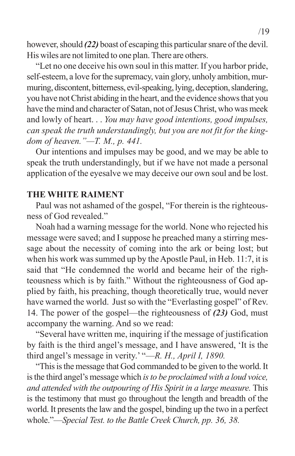however, should *(22)* boast of escaping this particular snare of the devil. His wiles are not limited to one plan. There are others.

"Let no one deceive his own soul in this matter. If you harbor pride, self-esteem, a love for the supremacy, vain glory, unholy ambition, murmuring, discontent, bitterness, evil-speaking, lying, deception, slandering, you have not Christ abiding in the heart, and the evidence shows that you have the mind and character of Satan, not of Jesus Christ, who was meek and lowly of heart. . . *You may have good intentions, good impulses, can speak the truth understandingly, but you are not fit for the kingdom of heaven."—T. M., p. 441.*

Our intentions and impulses may be good, and we may be able to speak the truth understandingly, but if we have not made a personal application of the eyesalve we may deceive our own soul and be lost.

#### **THE WHITE RAIMENT**

Paul was not ashamed of the gospel, "For therein is the righteousness of God revealed."

Noah had a warning message for the world. None who rejected his message were saved; and I suppose he preached many a stirring message about the necessity of coming into the ark or being lost; but when his work was summed up by the Apostle Paul, in Heb. 11:7, it is said that "He condemned the world and became heir of the righteousness which is by faith." Without the righteousness of God applied by faith, his preaching, though theoretically true, would never have warned the world. Just so with the "Everlasting gospel" of Rev. 14. The power of the gospel—the righteousness of *(23)* God, must accompany the warning. And so we read:

"Several have written me, inquiring if the message of justification by faith is the third angel's message, and I have answered, 'It is the third angel's message in verity.' "—*R. H., April I, 1890.*

"This is the message that God commanded to be given to the world. It is the third angel's message which *is to be proclaimed with a loud voice, and attended with the outpouring of His Spirit in a large measure.* This is the testimony that must go throughout the length and breadth of the world. It presents the law and the gospel, binding up the two in a perfect whole."—*Special Test. to the Battle Creek Church, pp. 36, 38.*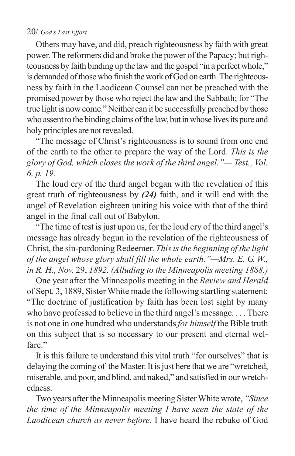Others may have, and did, preach righteousness by faith with great power. The reformers did and broke the power of the Papacy; but righteousness by faith binding up the law and the gospel "in a perfect whole," is demanded of those who finish the work of God on earth. The righteousness by faith in the Laodicean Counsel can not be preached with the promised power by those who reject the law and the Sabbath; for "The true light is now come." Neither can it be successfully preached by those who assent to the binding claims of the law, but in whose lives its pure and holy principles are not revealed.

"The message of Christ's righteousness is to sound from one end of the earth to the other to prepare the way of the Lord. *This is the glory of God, which closes the work of the third angel."— Test., Vol. 6, p. 19.*

The loud cry of the third angel began with the revelation of this great truth of righteousness by *(24)* faith, and it will end with the angel of Revelation eighteen uniting his voice with that of the third angel in the final call out of Babylon.

"The time of test is just upon us, for the loud cry of the third angel's message has already begun in the revelation of the righteousness of Christ, the sin-pardoning Redeemer. *This is the beginning of the light of the angel whose glory shall fill the whole earth."—Mrs. E. G. W., in R. H., Nov.* 29, *1892. (Alluding to the Minneapolis meeting 1888.)*

One year after the Minneapolis meeting in the *Review and Herald* of Sept. 3, 1889, Sister White made the following startling statement: "The doctrine of justification by faith has been lost sight by many who have professed to believe in the third angel's message. . . . There is not one in one hundred who understands *for himself* the Bible truth on this subject that is so necessary to our present and eternal welfare"

It is this failure to understand this vital truth "for ourselves" that is delaying the coming of the Master. It is just here that we are "wretched, miserable, and poor, and blind, and naked," and satisfied in our wretchedness.

Two years after the Minneapolis meeting Sister White wrote, *"Since the time of the Minneapolis meeting I have seen the state of the Laodicean church as never before.* I have heard the rebuke of God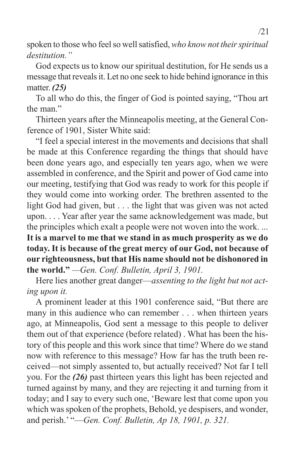spoken to those who feel so well satisfied, *who know not their spiritual destitution."*

God expects us to know our spiritual destitution, for He sends us a message that reveals it. Let no one seek to hide behind ignorance in this matter. *(25)*

To all who do this, the finger of God is pointed saying, "Thou art the man"

Thirteen years after the Minneapolis meeting, at the General Conference of 1901, Sister White said:

"I feel a special interest in the movements and decisions that shall be made at this Conference regarding the things that should have been done years ago, and especially ten years ago, when we were assembled in conference, and the Spirit and power of God came into our meeting, testifying that God was ready to work for this people if they would come into working order. The brethren assented to the light God had given, but . . . the light that was given was not acted upon. . . . Year after year the same acknowledgement was made, but the principles which exalt a people were not woven into the work. ...

**It is a marvel to me that we stand in as much prosperity as we do today. It is because of the great mercy of our God, not because of our righteousness, but that His name should not be dishonored in the world."** *—Gen. Conf. Bulletin, April 3, 1901.*

Here lies another great danger—*assenting to the light but not acting upon it.*

A prominent leader at this 1901 conference said, "But there are many in this audience who can remember . . . when thirteen years ago, at Minneapolis, God sent a message to this people to deliver them out of that experience (before related) . What has been the history of this people and this work since that time? Where do we stand now with reference to this message? How far has the truth been received—not simply assented to, but actually received? Not far I tell you. For the *(26)* past thirteen years this light has been rejected and turned against by many, and they are rejecting it and turning from it today; and I say to every such one, 'Beware lest that come upon you which was spoken of the prophets, Behold, ye despisers, and wonder, and perish.' "—*Gen. Conf. Bulletin, Ap 18, 1901, p. 321.*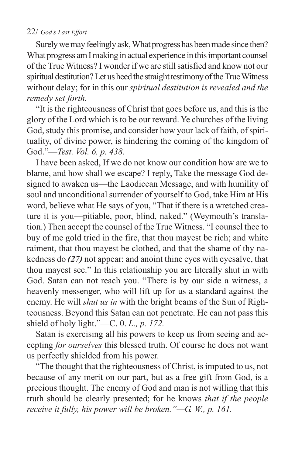Surely we may feelingly ask, What progress has been made since then? What progress am I making in actual experience in this important counsel of the True Witness? I wonder if we are still satisfied and know not our spiritual destitution? Let us heed the straight testimony of the True Witness without delay; for in this our *spiritual destitution is revealed and the remedy set forth.*

"It is the righteousness of Christ that goes before us, and this is the glory of the Lord which is to be our reward. Ye churches of the living God, study this promise, and consider how your lack of faith, of spirituality, of divine power, is hindering the coming of the kingdom of God."—*Test. Vol. 6, p. 438.*

I have been asked, If we do not know our condition how are we to blame, and how shall we escape? I reply, Take the message God designed to awaken us—the Laodicean Message, and with humility of soul and unconditional surrender of yourself to God, take Him at His word, believe what He says of you, "That if there is a wretched creature it is you—pitiable, poor, blind, naked." (Weymouth's translation.) Then accept the counsel of the True Witness. "I counsel thee to buy of me gold tried in the fire, that thou mayest be rich; and white raiment, that thou mayest be clothed, and that the shame of thy nakedness do *(27)* not appear; and anoint thine eyes with eyesalve, that thou mayest see." In this relationship you are literally shut in with God. Satan can not reach you. "There is by our side a witness, a heavenly messenger, who will lift up for us a standard against the enemy. He will *shut us in* with the bright beams of the Sun of Righteousness. Beyond this Satan can not penetrate. He can not pass this shield of holy light."—C. 0. *L., p. 172.*

Satan is exercising all his powers to keep us from seeing and accepting *for ourselves* this blessed truth. Of course he does not want us perfectly shielded from his power.

"The thought that the righteousness of Christ, is imputed to us, not because of any merit on our part, but as a free gift from God, is a precious thought. The enemy of God and man is not willing that this truth should be clearly presented; for he knows *that if the people receive it fully, his power will be broken."—G. W., p. 161.*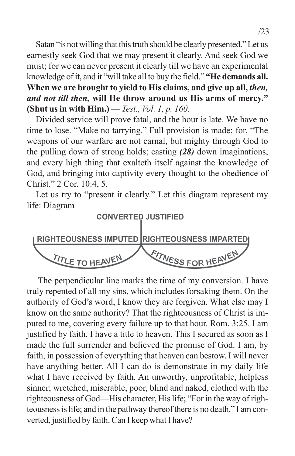Satan "is not willing that this truth should be clearly presented." Let us earnestly seek God that we may present it clearly. And seek God we must; for we can never present it clearly till we have an experimental knowledge of it, and it "will take all to buy the field." **"He demands all. When we are brought to yield to His claims, and give up all,** *then, and not till then,* **will He throw around us His arms of mercy." (Shut us in with Him.)** — *Test., Vol. 1, p. 160.*

Divided service will prove fatal, and the hour is late. We have no time to lose. "Make no tarrying." Full provision is made; for, "The weapons of our warfare are not carnal, but mighty through God to the pulling down of strong holds; casting *(28)* down imaginations, and every high thing that exalteth itself against the knowledge of God, and bringing into captivity every thought to the obedience of Christ." 2 Cor. 10:4, 5.

Let us try to "present it clearly." Let this diagram represent my life: Diagram



 The perpendicular line marks the time of my conversion. I have truly repented of all my sins, which includes forsaking them. On the authority of God's word, I know they are forgiven. What else may I know on the same authority? That the righteousness of Christ is imputed to me, covering every failure up to that hour. Rom. 3:25. I am justified by faith. I have a title to heaven. This I secured as soon as I made the full surrender and believed the promise of God. I am, by faith, in possession of everything that heaven can bestow. I will never have anything better. All I can do is demonstrate in my daily life what I have received by faith. An unworthy, unprofitable, helpless sinner; wretched, miserable, poor, blind and naked, clothed with the righteousness of God—His character, His life; "For in the way of righteousness is life; and in the pathway thereof there is no death." I am converted, justified by faith. Can I keep what I have?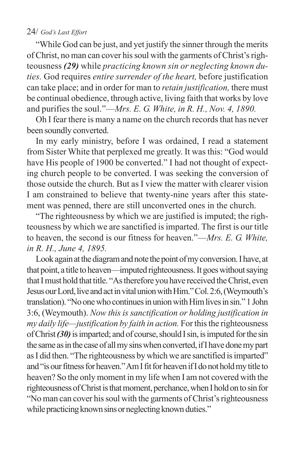"While God can be just, and yet justify the sinner through the merits of Christ, no man can cover his soul with the garments of Christ's righteousness *(29)* while *practicing known sin or neglecting known duties.* God requires *entire surrender of the heart,* before justification can take place; and in order for man to *retain justification,* there must be continual obedience, through active, living faith that works by love and purifies the soul."—*Mrs. E. G. White, in R. H., Nov. 4, 1890.*

Oh I fear there is many a name on the church records that has never been soundly converted.

In my early ministry, before I was ordained, I read a statement from Sister White that perplexed me greatly. It was this: "God would have His people of 1900 be converted." I had not thought of expecting church people to be converted. I was seeking the conversion of those outside the church. But as I view the matter with clearer vision I am constrained to believe that twenty-nine years after this statement was penned, there are still unconverted ones in the church.

"The righteousness by which we are justified is imputed; the righteousness by which we are sanctified is imparted. The first is our title to heaven, the second is our fitness for heaven."—*Mrs. E. G. White, in R. H., June 4, 1895.* 

Look again at the diagram and note the point of my conversion. I have, at that point, a title to heaven—imputed righteousness. It goes without saying that I must hold that title. "As therefore you have received the Christ, even Jesus our Lord, live and act in vital union with Him." Col. 2:6, (Weymouth's translation). "No one who continues in union with Him lives in sin." 1 John 3:6, (Weymouth). *Now this is sanctification or holding justification in my daily life—justification by faith in action.* For this the righteousness of Christ *(30)* is imparted; and of course, should I sin, is imputed for the sin the same as in the case of all my sins when converted, if I have done my part as I did then. "The righteousness by which we are sanctified is imparted" and "is our fitness for heaven." Am I fit for heaven if I do not hold my title to heaven? So the only moment in my life when I am not covered with the righteousness of Christ is that moment, perchance, when I hold on to sin for "No man can cover his soul with the garments of Christ's righteousness while practicing known sins or neglecting known duties."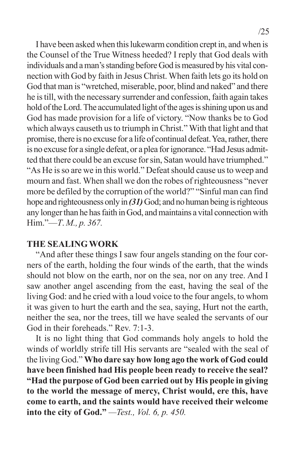I have been asked when this lukewarm condition crept in, and when is the Counsel of the True Witness heeded? I reply that God deals with individuals and a man's standing before God is measured by his vital connection with God by faith in Jesus Christ. When faith lets go its hold on God that man is "wretched, miserable, poor, blind and naked" and there he is till, with the necessary surrender and confession, faith again takes hold of the Lord. The accumulated light of the ages is shining upon us and God has made provision for a life of victory. "Now thanks be to God which always causeth us to triumph in Christ." With that light and that promise, there is no excuse for a life of continual defeat. Yea, rather, there is no excuse for a single defeat, or a plea for ignorance. "Had Jesus admitted that there could be an excuse for sin, Satan would have triumphed." "As He is so are we in this world." Defeat should cause us to weep and mourn and fast. When shall we don the robes of righteousness "never more be defiled by the corruption of the world?" "Sinful man can find hope and righteousness only in *(31)* God; and no human being is righteous any longer than he has faith in God, and maintains a vital connection with Him."—*T*. *M., p. 367.*

#### **THE SEALING WORK**

"And after these things I saw four angels standing on the four corners of the earth, holding the four winds of the earth, that the winds should not blow on the earth, nor on the sea, nor on any tree. And I saw another angel ascending from the east, having the seal of the living God: and he cried with a loud voice to the four angels, to whom it was given to hurt the earth and the sea, saying, Hurt not the earth, neither the sea, nor the trees, till we have sealed the servants of our God in their foreheads." Rev.  $7.1-3$ .

It is no light thing that God commands holy angels to hold the winds of worldly strife till His servants are "sealed with the seal of the living God." **Who dare say how long ago the work of God could have been finished had His people been ready to receive the seal? "Had the purpose of God been carried out by His people in giving to the world the message of mercy, Christ would, ere this, have come to earth, and the saints would have received their welcome into the city of God."** *—Test., Vol. 6, p. 450.*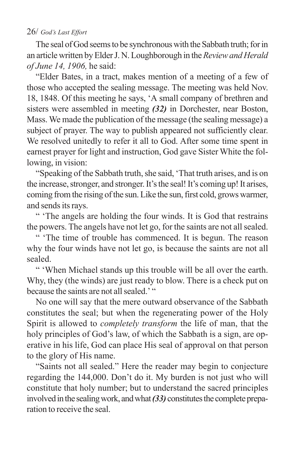The seal of God seems to be synchronous with the Sabbath truth; for in an article written by Elder J. N. Loughborough in the *Review and Herald of June 14, 1906,* he said:

"Elder Bates, in a tract, makes mention of a meeting of a few of those who accepted the sealing message. The meeting was held Nov. 18, 1848. Of this meeting he says, 'A small company of brethren and sisters were assembled in meeting *(32)* in Dorchester, near Boston, Mass. We made the publication of the message (the sealing message) a subject of prayer. The way to publish appeared not sufficiently clear. We resolved unitedly to refer it all to God. After some time spent in earnest prayer for light and instruction, God gave Sister White the following, in vision:

"Speaking of the Sabbath truth, she said, 'That truth arises, and is on the increase, stronger, and stronger. It's the seal! It's coming up! It arises, coming from the rising of the sun. Like the sun, first cold, grows warmer, and sends its rays.

" 'The angels are holding the four winds. It is God that restrains the powers. The angels have not let go, for the saints are not all sealed.

" 'The time of trouble has commenced. It is begun. The reason why the four winds have not let go, is because the saints are not all sealed.

" 'When Michael stands up this trouble will be all over the earth. Why, they (the winds) are just ready to blow. There is a check put on because the saints are not all sealed.<sup>'"</sup>

No one will say that the mere outward observance of the Sabbath constitutes the seal; but when the regenerating power of the Holy Spirit is allowed to *completely transform* the life of man, that the holy principles of God's law, of which the Sabbath is a sign, are operative in his life, God can place His seal of approval on that person to the glory of His name.

"Saints not all sealed." Here the reader may begin to conjecture regarding the 144,000. Don't do it. My burden is not just who will constitute that holy number; but to understand the sacred principles involved in the sealing work, and what *(33)* constitutes the complete preparation to receive the seal.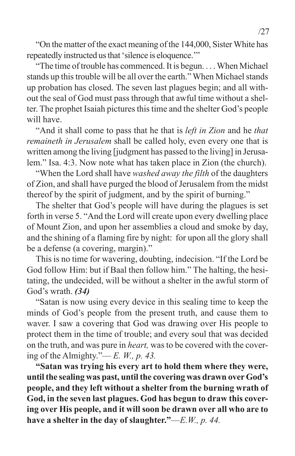"On the matter of the exact meaning of the 144,000, Sister White has repeatedly instructed us that 'silence is eloquence.'"

"The time of trouble has commenced. It is begun. . . . When Michael stands up this trouble will be all over the earth." When Michael stands up probation has closed. The seven last plagues begin; and all without the seal of God must pass through that awful time without a shelter. The prophet Isaiah pictures this time and the shelter God's people will have.

"And it shall come to pass that he that is *left in Zion* and he *that remaineth in Jerusalem* shall be called holy, even every one that is written among the living [judgment has passed to the living] in Jerusalem." Isa. 4:3. Now note what has taken place in Zion (the church).

"When the Lord shall have *washed away the filth* of the daughters of Zion, and shall have purged the blood of Jerusalem from the midst thereof by the spirit of judgment, and by the spirit of burning."

The shelter that God's people will have during the plagues is set forth in verse 5. "And the Lord will create upon every dwelling place of Mount Zion, and upon her assemblies a cloud and smoke by day, and the shining of a flaming fire by night: for upon all the glory shall be a defense (a covering, margin)."

This is no time for wavering, doubting, indecision. "If the Lord be God follow Him: but if Baal then follow him." The halting, the hesitating, the undecided, will be without a shelter in the awful storm of God's wrath. *(34)*

"Satan is now using every device in this sealing time to keep the minds of God's people from the present truth, and cause them to waver. I saw a covering that God was drawing over His people to protect them in the time of trouble; and every soul that was decided on the truth, and was pure in *heart,* was to be covered with the covering of the Almighty."— *E. W., p. 43.*

**"Satan was trying his every art to hold them where they were, until the sealing was past, until the covering was drawn over God's people, and they left without a shelter from the burning wrath of God, in the seven last plagues. God has begun to draw this covering over His people, and it will soon be drawn over all who are to have a shelter in the day of slaughter."**—*E.W., p. 44.*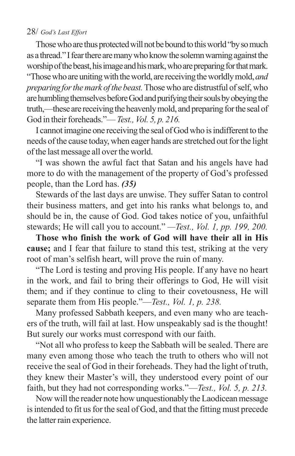Those who are thus protected will not be bound to this world "by so much as a thread." I fear there are many who know the solemn warning against the worship of the beast, his image and his mark, who are preparing for that mark.

"Those who are uniting with the world, are receiving the worldly mold, *and preparing for the mark of the beast.* Those who are distrustful of self, who are humbling themselves before God and purifying their souls by obeying the truth,—these are receiving the heavenly mold, and preparing for the seal of God in their foreheads."— *Test., Vol. 5, p. 216.*

I cannot imagine one receiving the seal of God who is indifferent to the needs of the cause today, when eager hands are stretched out for the light of the last message all over the world.

"I was shown the awful fact that Satan and his angels have had more to do with the management of the property of God's professed people, than the Lord has. *(35)* 

Stewards of the last days are unwise. They suffer Satan to control their business matters, and get into his ranks what belongs to, and should be in, the cause of God. God takes notice of you, unfaithful stewards; He will call you to account." *—Test., Vol. 1, pp. 199, 200.*

**Those who finish the work of God will have their all in His cause;** and I fear that failure to stand this test, striking at the very root of man's selfish heart, will prove the ruin of many.

"The Lord is testing and proving His people. If any have no heart in the work, and fail to bring their offerings to God, He will visit them; and if they continue to cling to their covetousness, He will separate them from His people."—*Test., Vol. 1, p. 238.*

Many professed Sabbath keepers, and even many who are teachers of the truth, will fail at last. How unspeakably sad is the thought! But surely our works must correspond with our faith.

"Not all who profess to keep the Sabbath will be sealed. There are many even among those who teach the truth to others who will not receive the seal of God in their foreheads. They had the light of truth, they knew their Master's will, they understood every point of our faith, but they had not corresponding works."—*Test., Vol. 5, p. 213.*

Now will the reader note how unquestionably the Laodicean message is intended to fit us for the seal of God, and that the fitting must precede the latter rain experience.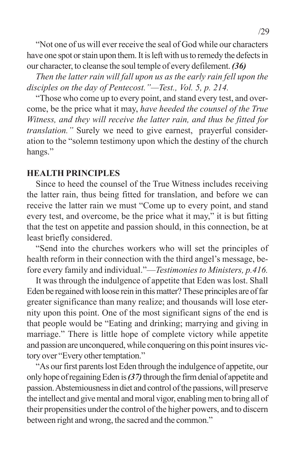"Not one of us will ever receive the seal of God while our characters have one spot or stain upon them. It is left with us to remedy the defects in our character, to cleanse the soul temple of every defilement. *(36)*

*Then the latter rain will fall upon us as the early rain fell upon the disciples on the day of Pentecost."—Test., Vol. 5, p. 214.*

"Those who come up to every point, and stand every test, and overcome, be the price what it may, *have heeded the counsel of the True Witness, and they will receive the latter rain, and thus be fitted for translation."* Surely we need to give earnest, prayerful consideration to the "solemn testimony upon which the destiny of the church hangs."

#### **HEALTH PRINCIPLES**

Since to heed the counsel of the True Witness includes receiving the latter rain, thus being fitted for translation, and before we can receive the latter rain we must "Come up to every point, and stand every test, and overcome, be the price what it may," it is but fitting that the test on appetite and passion should, in this connection, be at least briefly considered.

"Send into the churches workers who will set the principles of health reform in their connection with the third angel's message, before every family and individual."—*Testimonies to Ministers, p.416.*

It was through the indulgence of appetite that Eden was lost. Shall Eden be regained with loose rein in this matter? These principles are of far greater significance than many realize; and thousands will lose eternity upon this point. One of the most significant signs of the end is that people would be "Eating and drinking; marrying and giving in marriage." There is little hope of complete victory while appetite and passion are unconquered, while conquering on this point insures victory over "Every other temptation."

"As our first parents lost Eden through the indulgence of appetite, our only hope of regaining Eden is *(37)* through the firm denial of appetite and passion. Abstemiousness in diet and control of the passions, will preserve the intellect and give mental and moral vigor, enabling men to bring all of their propensities under the control of the higher powers, and to discern between right and wrong, the sacred and the common."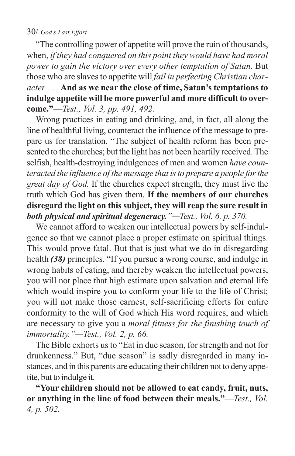"The controlling power of appetite will prove the ruin of thousands, when, *if they had conquered on this point they would have had moral power to gain the victory over every other temptation of Satan.* But those who are slaves to appetite will *fail in perfecting Christian character. . . .* **And as we near the close of time, Satan's temptations to indulge appetite will be more powerful and more difficult to overcome."**—*Test., Vol. 3, pp. 491, 492.*

Wrong practices in eating and drinking, and, in fact, all along the line of healthful living, counteract the influence of the message to prepare us for translation. "The subject of health reform has been presented to the churches; but the light has not been heartily received. The selfish, health-destroying indulgences of men and women *have counteracted the influence of the message that is to prepare a people for the great day of God.* If the churches expect strength, they must live the truth which God has given them. **If the members of our churches disregard the light on this subject, they will reap the sure result in** *both physical and spiritual degeneracy."—Test., Vol. 6, p. 370.*

We cannot afford to weaken our intellectual powers by self-indulgence so that we cannot place a proper estimate on spiritual things. This would prove fatal. But that is just what we do in disregarding health *(38)* principles. "If you pursue a wrong course, and indulge in wrong habits of eating, and thereby weaken the intellectual powers, you will not place that high estimate upon salvation and eternal life which would inspire you to conform your life to the life of Christ; you will not make those earnest, self-sacrificing efforts for entire conformity to the will of God which His word requires, and which are necessary to give you a *moral fitness for the finishing touch of immortality."—Test., Vol. 2, p. 66.*

The Bible exhorts us to "Eat in due season, for strength and not for drunkenness." But, "due season" is sadly disregarded in many instances, and in this parents are educating their children not to deny appetite, but to indulge it.

**"Your children should not be allowed to eat candy, fruit, nuts, or anything in the line of food between their meals."**—*Test., Vol. 4, p. 502.*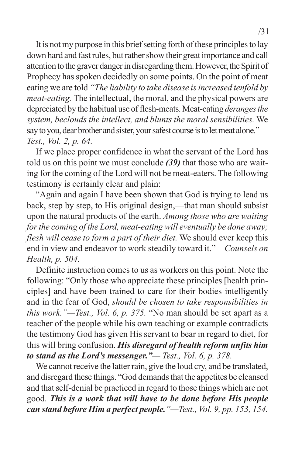It is not my purpose in this brief setting forth of these principles to lay down hard and fast rules, but rather show their great importance and call attention to the graver danger in disregarding them. However, the Spirit of Prophecy has spoken decidedly on some points. On the point of meat eating we are told *"The liability to take disease is increased tenfold by meat-eating.* The intellectual, the moral, and the physical powers are depreciated by the habitual use of flesh-meats. Meat-eating *deranges the system, beclouds the intellect, and blunts the moral sensibilities.* We say to you, dear brother and sister, your safest course is to let meat alone."— *Test., Vol. 2, p. 64.*

If we place proper confidence in what the servant of the Lord has told us on this point we must conclude *(39)* that those who are waiting for the coming of the Lord will not be meat-eaters. The following testimony is certainly clear and plain:

"Again and again I have been shown that God is trying to lead us back, step by step, to His original design,—that man should subsist upon the natural products of the earth. *Among those who are waiting for the coming of the Lord, meat-eating will eventually be done away; flesh will cease to form a part of their diet.* We should ever keep this end in view and endeavor to work steadily toward it."—*Counsels on Health, p. 504.*

Definite instruction comes to us as workers on this point. Note the following: "Only those who appreciate these principles [health principles] and have been trained to care for their bodies intelligently and in the fear of God, *should be chosen to take responsibilities in this work."—Test., Vol. 6, p. 375.* "No man should be set apart as a teacher of the people while his own teaching or example contradicts the testimony God has given His servant to bear in regard to diet, for this will bring confusion. *His disregard of health reform unfits him to stand as the Lord's messenger."— Test., Vol. 6, p. 378.*

We cannot receive the latter rain, give the loud cry, and be translated, and disregard these things. "God demands that the appetites be cleansed and that self-denial be practiced in regard to those things which are not good. *This is a work that will have to be done before His people can stand before Him a perfect people."—Test., Vol. 9, pp. 153, 154.*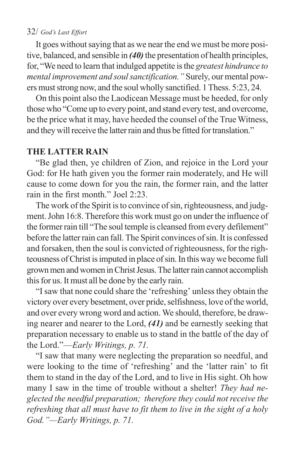It goes without saying that as we near the end we must be more positive, balanced, and sensible in *(40)* the presentation of health principles, for, "We need to learn that indulged appetite is the *greatest hindrance to mental improvement and soul sanctification."* Surely, our mental powers must strong now, and the soul wholly sanctified. 1 Thess. 5:23, 24.

On this point also the Laodicean Message must be heeded, for only those who "Come up to every point, and stand every test, and overcome, be the price what it may, have heeded the counsel of the True Witness, and they will receive the latter rain and thus be fitted for translation."

#### **THE LATTER RAIN**

"Be glad then, ye children of Zion, and rejoice in the Lord your God: for He hath given you the former rain moderately, and He will cause to come down for you the rain, the former rain, and the latter rain in the first month." Joel 2:23.

The work of the Spirit is to convince of sin, righteousness, and judgment. John 16:8. Therefore this work must go on under the influence of the former rain till "The soul temple is cleansed from every defilement" before the latter rain can fall. The Spirit convinces of sin. It is confessed and forsaken, then the soul is convicted of righteousness, for the righteousness of Christ is imputed in place of sin. In this way we become full grown men and women in Christ Jesus. The latter rain cannot accomplish this for us. It must all be done by the early rain.

"I saw that none could share the 'refreshing' unless they obtain the victory over every besetment, over pride, selfishness, love of the world, and over every wrong word and action. We should, therefore, be drawing nearer and nearer to the Lord, *(41)* and be earnestly seeking that preparation necessary to enable us to stand in the battle of the day of the Lord."—*Early Writings, p. 71.*

"I saw that many were neglecting the preparation so needful, and were looking to the time of 'refreshing' and the 'latter rain' to fit them to stand in the day of the Lord, and to live in His sight. Oh how many I saw in the time of trouble without a shelter! *They had neglected the needful preparation; therefore they could not receive the refreshing that all must have to fit them to live in the sight of a holy God."—Early Writings, p. 71.*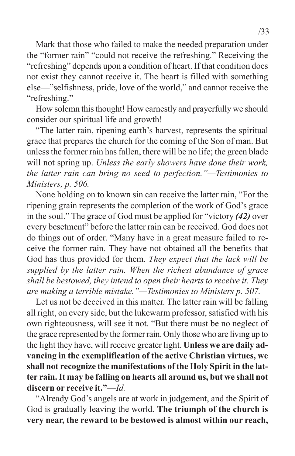Mark that those who failed to make the needed preparation under the "former rain" "could not receive the refreshing." Receiving the "refreshing" depends upon a condition of heart. If that condition does not exist they cannot receive it. The heart is filled with something else—"selfishness, pride, love of the world," and cannot receive the "refreshing."

How solemn this thought! How earnestly and prayerfully we should consider our spiritual life and growth!

"The latter rain, ripening earth's harvest, represents the spiritual grace that prepares the church for the coming of the Son of man. But unless the former rain has fallen, there will be no life; the green blade will not spring up. *Unless the early showers have done their work, the latter rain can bring no seed to perfection."—Testimonies to Ministers, p. 506.*

None holding on to known sin can receive the latter rain, "For the ripening grain represents the completion of the work of God's grace in the soul." The grace of God must be applied for "victory *(42)* over every besetment" before the latter rain can be received. God does not do things out of order. "Many have in a great measure failed to receive the former rain. They have not obtained all the benefits that God has thus provided for them. *They expect that the lack will be supplied by the latter rain. When the richest abundance of grace shall be bestowed, they intend to open their hearts to receive it. They are making a terrible mistake."—Testimonies to Ministers p. 507.*

Let us not be deceived in this matter. The latter rain will be falling all right, on every side, but the lukewarm professor, satisfied with his own righteousness, will see it not. "But there must be no neglect of the grace represented by the former rain. Only those who are living up to the light they have, will receive greater light. **Unless we are daily advancing in the exemplification of the active Christian virtues, we shall not recognize the manifestations of the Holy Spirit in the latter rain. It may be falling on hearts all around us, but we shall not discern or receive it."**—*Id.*

"Already God's angels are at work in judgement, and the Spirit of God is gradually leaving the world. **The triumph of the church is very near, the reward to be bestowed is almost within our reach,**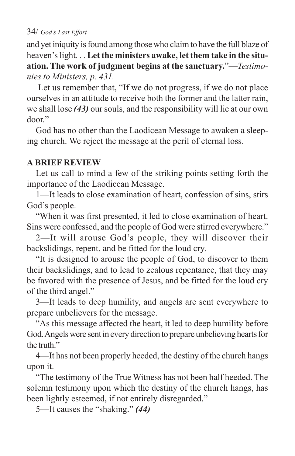and yet iniquity is found among those who claim to have the full blaze of heaven's light. . . **Let the ministers awake, let them take in the situation. The work of judgment begins at the sanctuary.**"—*Testimonies to Ministers, p. 431.*

 Let us remember that, "If we do not progress, if we do not place ourselves in an attitude to receive both the former and the latter rain, we shall lose *(43)* our souls, and the responsibility will lie at our own door."

God has no other than the Laodicean Message to awaken a sleeping church. We reject the message at the peril of eternal loss.

## **A BRIEF REVIEW**

Let us call to mind a few of the striking points setting forth the importance of the Laodicean Message.

1—It leads to close examination of heart, confession of sins, stirs God's people.

"When it was first presented, it led to close examination of heart. Sins were confessed, and the people of God were stirred everywhere."

2—It will arouse God's people, they will discover their backslidings, repent, and be fitted for the loud cry.

"It is designed to arouse the people of God, to discover to them their backslidings, and to lead to zealous repentance, that they may be favored with the presence of Jesus, and be fitted for the loud cry of the third angel."

3—It leads to deep humility, and angels are sent everywhere to prepare unbelievers for the message.

"As this message affected the heart, it led to deep humility before God. Angels were sent in every direction to prepare unbelieving hearts for the truth"

4—It has not been properly heeded, the destiny of the church hangs upon it.

"The testimony of the True Witness has not been half heeded. The solemn testimony upon which the destiny of the church hangs, has been lightly esteemed, if not entirely disregarded."

5—It causes the "shaking." *(44)*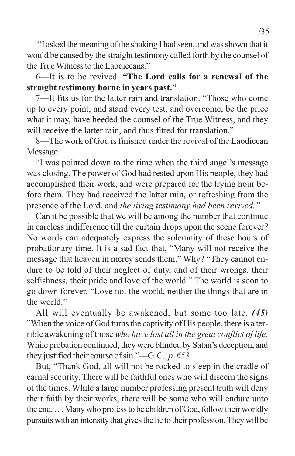"I asked the meaning of the shaking I had seen, and was shown that it would be caused by the straight testimony called forth by the counsel of the True Witness to the Laodiceans."

6—It is to be revived. **"The Lord calls for a renewal of the straight testimony borne in years past."**

7—It fits us for the latter rain and translation. "Those who come up to every point, and stand every test, and overcome, be the price what it may, have heeded the counsel of the True Witness, and they will receive the latter rain, and thus fitted for translation."

8—The work of God is finished under the revival of the Laodicean Message.

"I was pointed down to the time when the third angel's message was closing. The power of God had rested upon His people; they had accomplished their work, and were prepared for the trying hour before them. They had received the latter rain, or refreshing from the presence of the Lord, and *the living testimony had been revived."*

Can it be possible that we will be among the number that continue in careless indifference till the curtain drops upon the scene forever? No words can adequately express the solemnity of these hours of probationary time. It is a sad fact that, "Many will not receive the message that heaven in mercy sends them." Why? "They cannot endure to be told of their neglect of duty, and of their wrongs, their selfishness, their pride and love of the world." The world is soon to go down forever. "Love not the world, neither the things that are in the world."

All will eventually be awakened, but some too late. *(45)* "When the voice of God turns the captivity of His people, there is a terrible awakening of those *who have lost all in the great conflict of life.* While probation continued, they were blinded by Satan's deception, and they justified their course of sin."—G. C., *p. 653.*

But, "Thank God, all will not be rocked to sleep in the cradle of carnal security. There will be faithful ones who will discern the signs of the times. While a large number professing present truth will deny their faith by their works, there will be some who will endure unto the end. . . . Many who profess to be children of God, follow their worldly pursuits with an intensity that gives the lie to their profession. They will be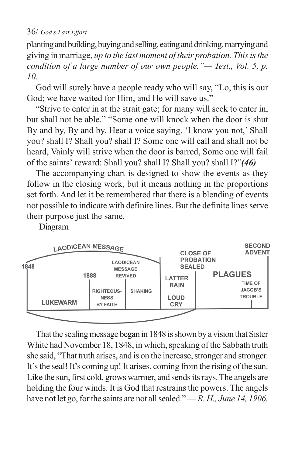planting and building, buying and selling, eating and drinking, marrying and giving in marriage, *up to the last moment of their probation. This is the condition of a large number of our own people."— Test., Vol. 5, p. 10.*

God will surely have a people ready who will say, "Lo, this is our God; we have waited for Him, and He will save us."

"Strive to enter in at the strait gate; for many will seek to enter in, but shall not be able." "Some one will knock when the door is shut By and by, By and by, Hear a voice saying, 'I know you not,' Shall you? shall I? Shall you? shall I? Some one will call and shall not be heard, Vainly will strive when the door is barred, Some one will fail of the saints' reward: Shall you? shall I? Shall you? shall I?"*(46)*

The accompanying chart is designed to show the events as they follow in the closing work, but it means nothing in the proportions set forth. And let it be remembered that there is a blending of events not possible to indicate with definite lines. But the definite lines serve their purpose just the same.

Diagram



That the sealing message began in 1848 is shown by a vision that Sister White had November 18, 1848, in which, speaking of the Sabbath truth she said, "That truth arises, and is on the increase, stronger and stronger. It's the seal! It's coming up! It arises, coming from the rising of the sun. Like the sun, first cold, grows warmer, and sends its rays. The angels are holding the four winds. It is God that restrains the powers. The angels have not let go, for the saints are not all sealed." — *R. H., June 14, 1906*.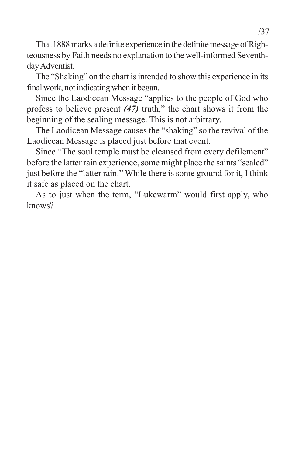That 1888 marks a definite experience in the definite message of Righteousness by Faith needs no explanation to the well-informed Seventhday Adventist.

The "Shaking" on the chart is intended to show this experience in its final work, not indicating when it began.

Since the Laodicean Message "applies to the people of God who profess to believe present *(47)* truth," the chart shows it from the beginning of the sealing message. This is not arbitrary.

The Laodicean Message causes the "shaking" so the revival of the Laodicean Message is placed just before that event.

Since "The soul temple must be cleansed from every defilement" before the latter rain experience, some might place the saints "sealed" just before the "latter rain." While there is some ground for it, I think it safe as placed on the chart.

As to just when the term, "Lukewarm" would first apply, who knows?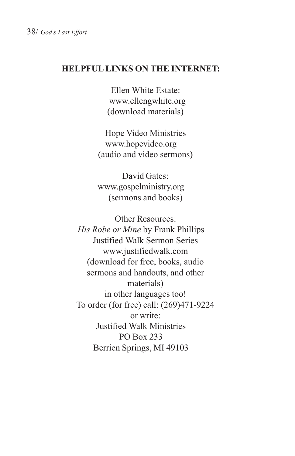#### **HELPFUL LINKS ON THE INTERNET:**

Ellen White Estate: www.ellengwhite.org (download materials)

Hope Video Ministries www.hopevideo.org (audio and video sermons)

David Gates: www.gospelministry.org (sermons and books)

Other Resources: *His Robe or Mine* by Frank Phillips Justified Walk Sermon Series www.justifiedwalk.com (download for free, books, audio sermons and handouts, and other materials) in other languages too! To order (for free) call: (269)471-9224 or write: Justified Walk Ministries PO Box 233 Berrien Springs, MI 49103